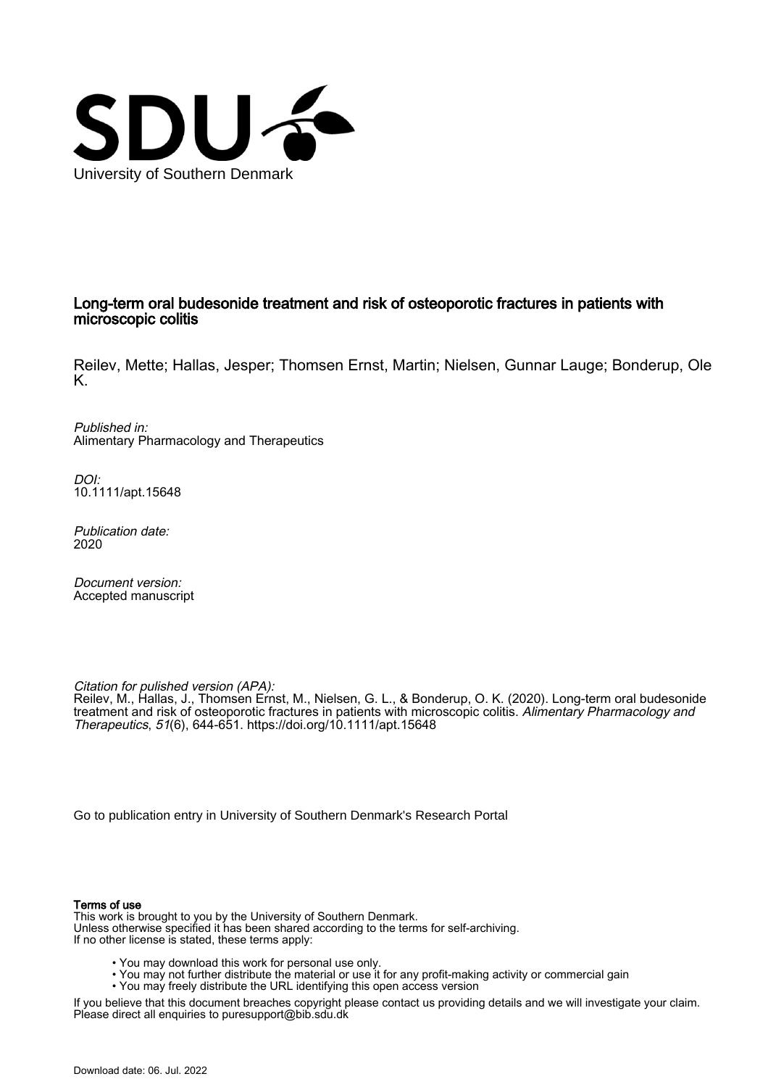

### Long-term oral budesonide treatment and risk of osteoporotic fractures in patients with microscopic colitis

Reilev, Mette; Hallas, Jesper; Thomsen Ernst, Martin; Nielsen, Gunnar Lauge; Bonderup, Ole K.

Published in: Alimentary Pharmacology and Therapeutics

DOI: [10.1111/apt.15648](https://doi.org/10.1111/apt.15648)

Publication date: 2020

Document version: Accepted manuscript

Citation for pulished version (APA):

Reilev, M., Hallas, J., Thomsen Ernst, M., Nielsen, G. L., & Bonderup, O. K. (2020). Long-term oral budesonide treatment and risk of osteoporotic fractures in patients with microscopic colitis. Alimentary Pharmacology and Therapeutics, 51(6), 644-651.<https://doi.org/10.1111/apt.15648>

[Go to publication entry in University of Southern Denmark's Research Portal](https://portal.findresearcher.sdu.dk/en/publications/194e7811-ce80-4e9f-8361-cbcc4eb09579)

### Terms of use

This work is brought to you by the University of Southern Denmark. Unless otherwise specified it has been shared according to the terms for self-archiving. If no other license is stated, these terms apply:

- You may download this work for personal use only.
- You may not further distribute the material or use it for any profit-making activity or commercial gain
	- You may freely distribute the URL identifying this open access version

If you believe that this document breaches copyright please contact us providing details and we will investigate your claim. Please direct all enquiries to puresupport@bib.sdu.dk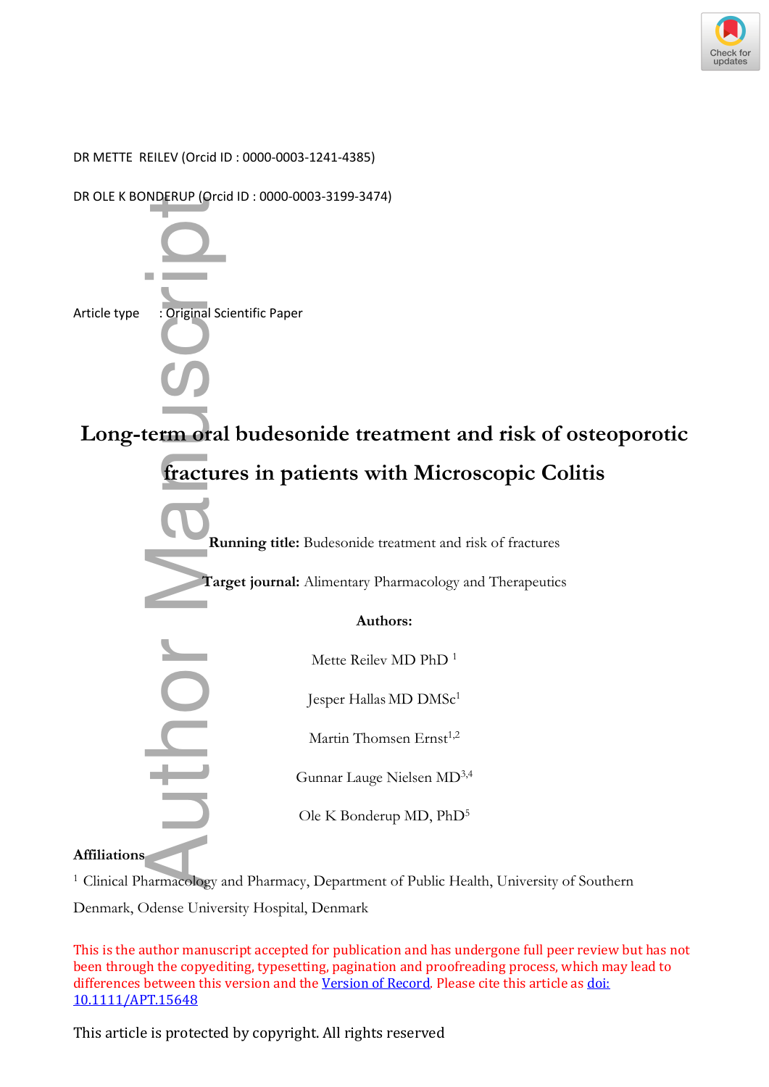

DR METTE REILEV (Orcid ID : 0000-0003-1241-4385)



**Affiliations**

<sup>1</sup> Clinical Pharmacology and Pharmacy, Department of Public Health, University of Southern

This is the author manuscript accepted for publication and has undergone full peer review but has not been through the copyediting, typesetting, pagination and proofreading process, which may lead to differences between this version and the [Version of Record](https://doi.org/10.1111/APT.15648). Please cite this article as [doi:](https://doi.org/10.1111/APT.15648)  [10.1111/APT.15648](https://doi.org/10.1111/APT.15648)

This article is protected by copyright. All rights reserved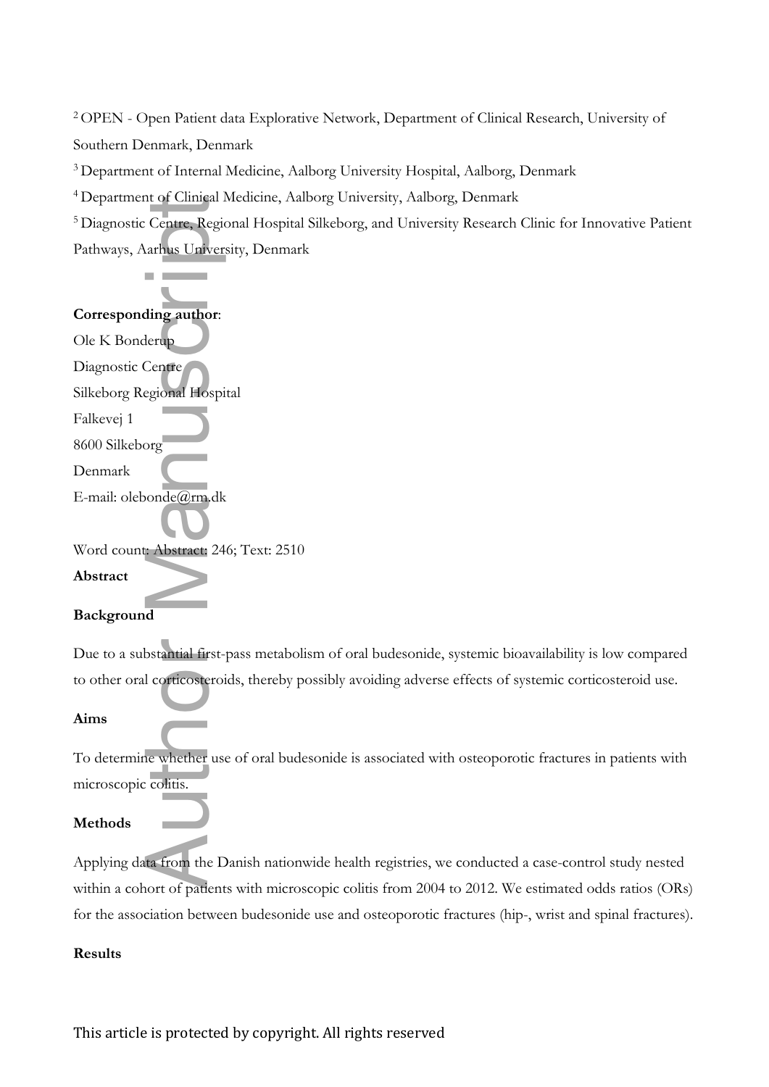<sup>2</sup>OPEN - Open Patient data Explorative Network, Department of Clinical Research, University of Southern Denmark, Denmark

<sup>3</sup>Department of Internal Medicine, Aalborg University Hospital, Aalborg, Denmark

<sup>4</sup>Department of Clinical Medicine, Aalborg University, Aalborg, Denmark

<sup>5</sup>Diagnostic Centre, Regional Hospital Silkeborg, and University Research Clinic for Innovative Patient Pathways, Aarhus University, Denmark

### **Corresponding author**:

Ole K Bonderup Diagnostic Centre Silkeborg Regional Hospital Falkevej 1 8600 Silkeborg Denmark E-mail: olebonde@rm.dk Word count: Abstract: 246; Text: 2510 **Abstract** The Centre, Regional Centre, Regional Centre, Regional Centre<br>
ding author:<br>
Lerup<br>
Centre<br>
egional Hospi<br>
org<br>
org<br>
org<br>
org<br>
org<br>
d<br>
d<br>
bstantial first-<br>
corticosteroi<br>
ic whether us<br>
colitis.<br>
ta from the Leruchter org<br>

### **Background**

Due to a substantial first-pass metabolism of oral budesonide, systemic bioavailability is low compared to other oral corticosteroids, thereby possibly avoiding adverse effects of systemic corticosteroid use.

### **Aims**

To determine whether use of oral budesonide is associated with osteoporotic fractures in patients with microscopic colitis.

### **Methods**

Applying data from the Danish nationwide health registries, we conducted a case-control study nested within a cohort of patients with microscopic colitis from 2004 to 2012. We estimated odds ratios (ORs) for the association between budesonide use and osteoporotic fractures (hip-, wrist and spinal fractures).

### **Results**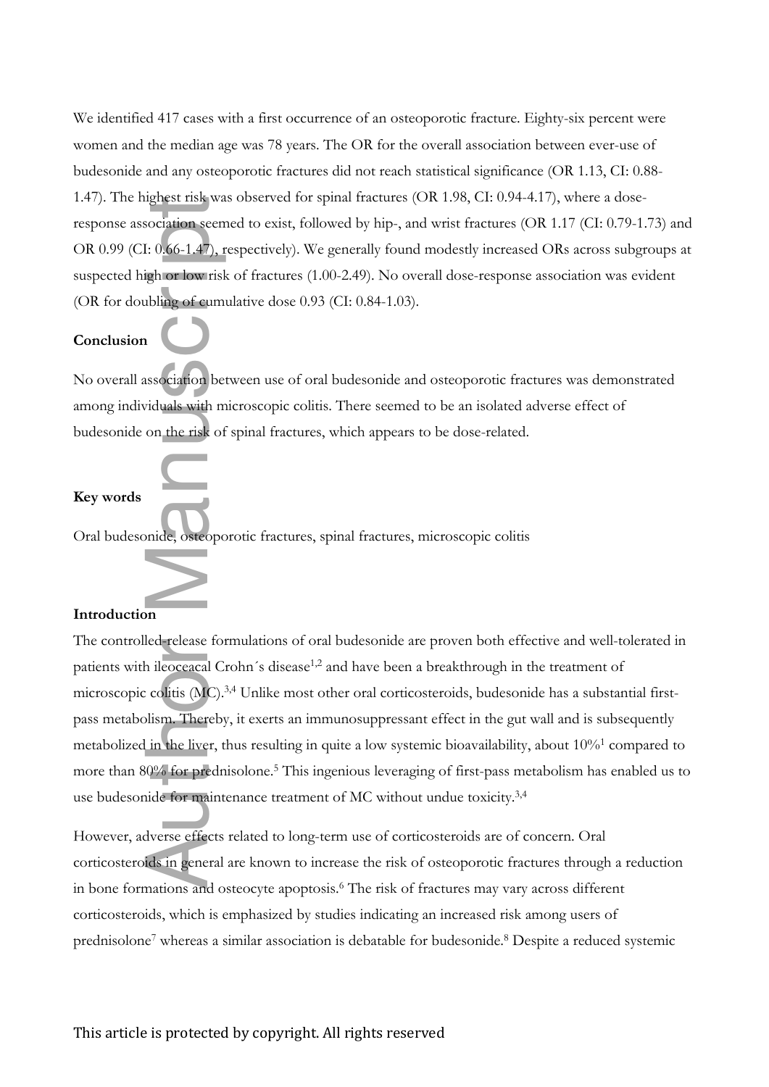We identified 417 cases with a first occurrence of an osteoporotic fracture. Eighty-six percent were women and the median age was 78 years. The OR for the overall association between ever-use of budesonide and any osteoporotic fractures did not reach statistical significance (OR 1.13, CI: 0.88- 1.47). The highest risk was observed for spinal fractures (OR 1.98, CI: 0.94-4.17), where a doseresponse association seemed to exist, followed by hip-, and wrist fractures (OR 1.17 (CI: 0.79-1.73) and OR 0.99 (CI: 0.66-1.47), respectively). We generally found modestly increased ORs across subgroups at suspected high or low risk of fractures (1.00-2.49). No overall dose-response association was evident (OR for doubling of cumulative dose 0.93 (CI: 0.84-1.03).

### **Conclusion**

No overall association between use of oral budesonide and osteoporotic fractures was demonstrated among individuals with microscopic colitis. There seemed to be an isolated adverse effect of budesonide on the risk of spinal fractures, which appears to be dose-related.

### **Key words**

Oral budesonide, osteoporotic fractures, spinal fractures, microscopic colitis

### **Introduction**

The controlled-release formulations of oral budesonide are proven both effective and well-tolerated in patients with ileoceacal Crohn's disease<sup>1,2</sup> and have been a breakthrough in the treatment of microscopic colitis (MC).3,4 Unlike most other oral corticosteroids, budesonide has a substantial firstpass metabolism. Thereby, it exerts an immunosuppressant effect in the gut wall and is subsequently metabolized in the liver, thus resulting in quite a low systemic bioavailability, about 10%<sup>1</sup> compared to more than 80% for prednisolone.<sup>5</sup> This ingenious leveraging of first-pass metabolism has enabled us to use budesonide for maintenance treatment of MC without undue toxicity.<sup>3,4</sup> ightest fisk was<br>
sociation seen<br>
I: 0.66-1.47), t<br>
igh or low risl<br>
ibling of cum<br>
ssociation be<br>
iduals with m<br>
on the risk of<br>
on the risk of<br>
in the liver, t<br>
is colitis (MC).<br>
blism. Thereby<br>
in the liver, t<br>
in the l

However, adverse effects related to long-term use of corticosteroids are of concern. Oral corticosteroids in general are known to increase the risk of osteoporotic fractures through a reduction in bone formations and osteocyte apoptosis.<sup>6</sup> The risk of fractures may vary across different corticosteroids, which is emphasized by studies indicating an increased risk among users of prednisolone<sup>7</sup> whereas a similar association is debatable for budesonide.<sup>8</sup> Despite a reduced systemic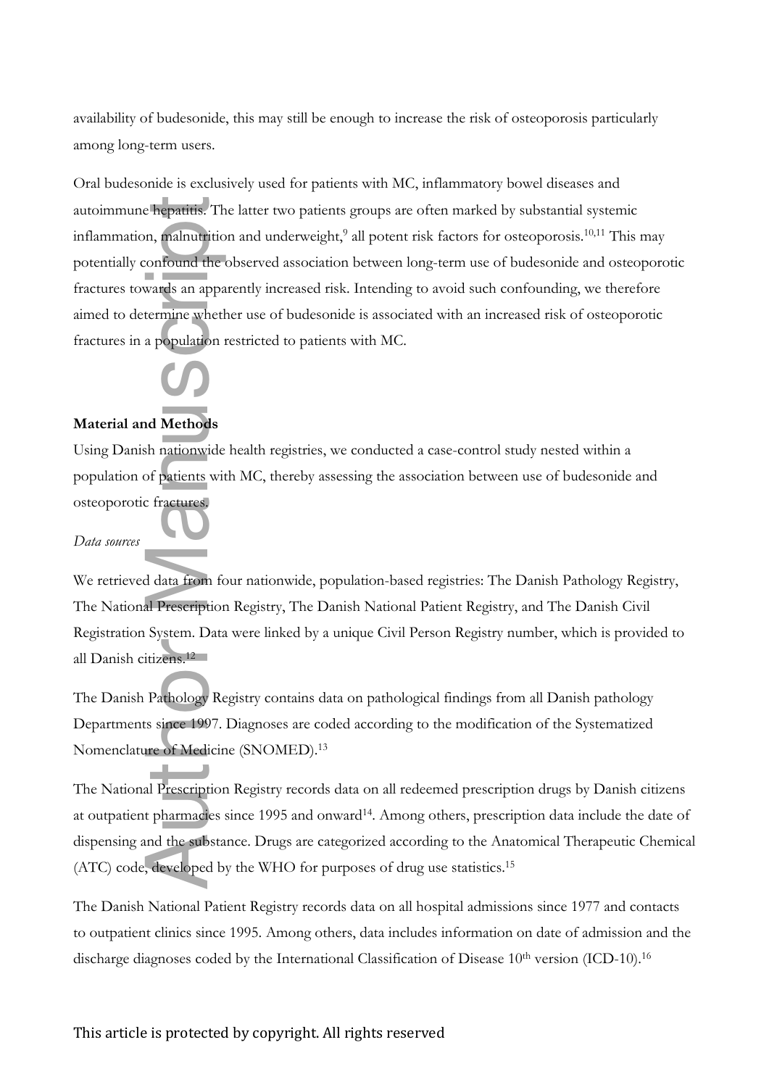availability of budesonide, this may still be enough to increase the risk of osteoporosis particularly among long-term users.

Oral budesonide is exclusively used for patients with MC, inflammatory bowel diseases and autoimmune hepatitis. The latter two patients groups are often marked by substantial systemic inflammation, malnutrition and underweight, $^9$  all potent risk factors for osteoporosis.<sup>10,11</sup> This may potentially confound the observed association between long-term use of budesonide and osteoporotic fractures towards an apparently increased risk. Intending to avoid such confounding, we therefore aimed to determine whether use of budesonide is associated with an increased risk of osteoporotic fractures in a population restricted to patients with MC. autoinmunc-hepatitie. The latter two patients groups are often marked by substantial systemic<br>infilamention, production can unclowely all procent risk factors for osteoporois<sup>201</sup><sup>201</sup> This method<br>poperially coordinated an



### **Material and Methods**

Using Danish nationwide health registries, we conducted a case-control study nested within a population of patients with MC, thereby assessing the association between use of budesonide and osteoporotic fractures.

### *Data sources*

We retrieved data from four nationwide, population-based registries: The Danish Pathology Registry, The National Prescription Registry, The Danish National Patient Registry, and The Danish Civil Registration System. Data were linked by a unique Civil Person Registry number, which is provided to all Danish citizens.<sup>12</sup>

The Danish Pathology Registry contains data on pathological findings from all Danish pathology Departments since 1997. Diagnoses are coded according to the modification of the Systematized Nomenclature of Medicine (SNOMED).<sup>13</sup>

The National Prescription Registry records data on all redeemed prescription drugs by Danish citizens at outpatient pharmacies since 1995 and onward<sup>14</sup>. Among others, prescription data include the date of dispensing and the substance. Drugs are categorized according to the Anatomical Therapeutic Chemical (ATC) code, developed by the WHO for purposes of drug use statistics.<sup>15</sup>

The Danish National Patient Registry records data on all hospital admissions since 1977 and contacts to outpatient clinics since 1995. Among others, data includes information on date of admission and the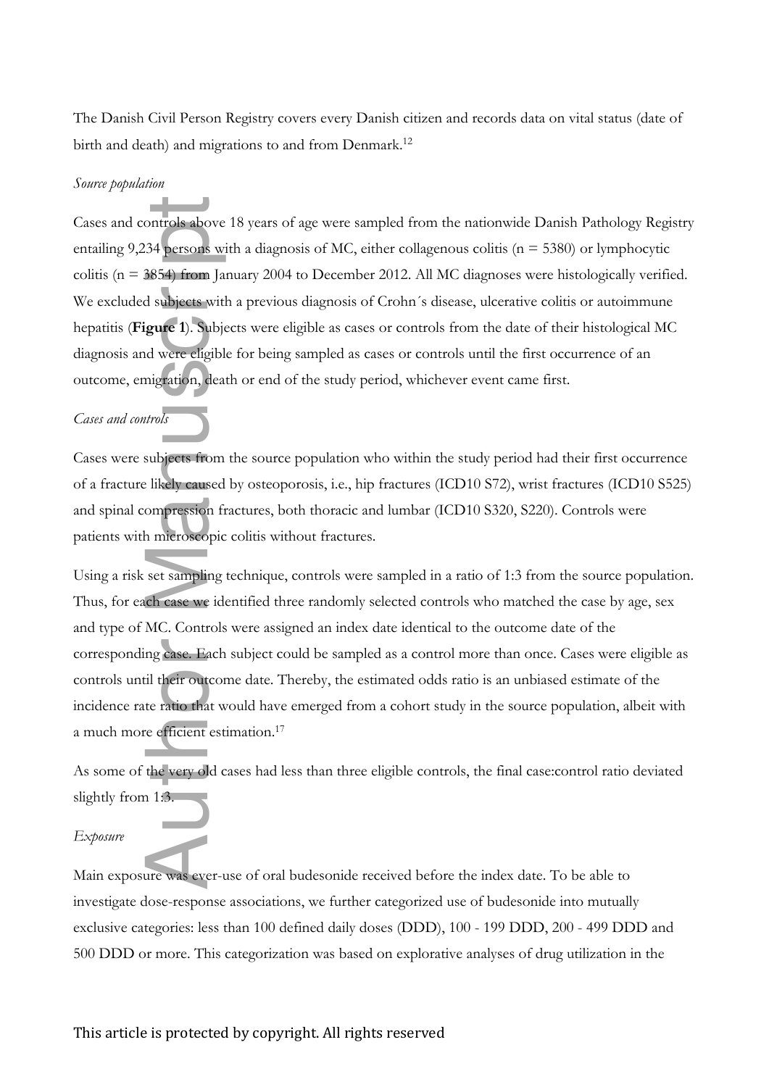The Danish Civil Person Registry covers every Danish citizen and records data on vital status (date of birth and death) and migrations to and from Denmark.<sup>12</sup>

### *Source population*

Cases and controls above 18 years of age were sampled from the nationwide Danish Pathology Registry entailing 9,234 persons with a diagnosis of MC, either collagenous colitis ( $n = 5380$ ) or lymphocytic colitis (n = 3854) from January 2004 to December 2012. All MC diagnoses were histologically verified. We excluded subjects with a previous diagnosis of Crohn's disease, ulcerative colitis or autoimmune hepatitis (**Figure 1**). Subjects were eligible as cases or controls from the date of their histological MC diagnosis and were eligible for being sampled as cases or controls until the first occurrence of an outcome, emigration, death or end of the study period, whichever event came first. Cases and controls above 18 years of age were sampled from the nationwide Danish Pathology Regntaling 9,234 persons with a diagnosis of MC, either collagenous colitis (n = 5380) or lymphocytic<br>colitis (n = 8650 or lymphocy

### *Cases and controls*

Cases were subjects from the source population who within the study period had their first occurrence of a fracture likely caused by osteoporosis, i.e., hip fractures (ICD10 S72), wrist fractures (ICD10 S525) and spinal compression fractures, both thoracic and lumbar (ICD10 S320, S220). Controls were patients with microscopic colitis without fractures.

Using a risk set sampling technique, controls were sampled in a ratio of 1:3 from the source population. Thus, for each case we identified three randomly selected controls who matched the case by age, sex and type of MC. Controls were assigned an index date identical to the outcome date of the corresponding case. Each subject could be sampled as a control more than once. Cases were eligible as controls until their outcome date. Thereby, the estimated odds ratio is an unbiased estimate of the incidence rate ratio that would have emerged from a cohort study in the source population, albeit with a much more efficient estimation.<sup>17</sup>

As some of the very old cases had less than three eligible controls, the final case:control ratio deviated slightly from 1:3.

### *Exposure*

Main exposure was ever-use of oral budesonide received before the index date. To be able to investigate dose-response associations, we further categorized use of budesonide into mutually exclusive categories: less than 100 defined daily doses (DDD), 100 - 199 DDD, 200 - 499 DDD and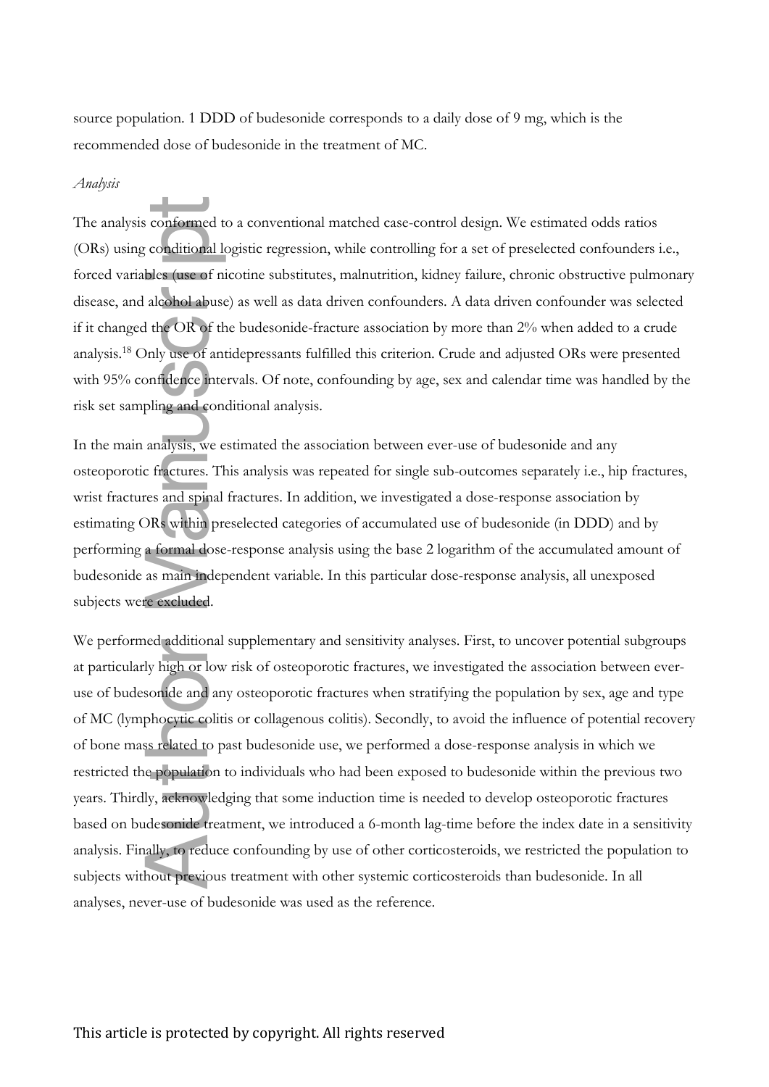source population. 1 DDD of budesonide corresponds to a daily dose of 9 mg, which is the recommended dose of budesonide in the treatment of MC.

### *Analysis*

The analysis conformed to a conventional matched case-control design. We estimated odds ratios (ORs) using conditional logistic regression, while controlling for a set of preselected confounders i.e., forced variables (use of nicotine substitutes, malnutrition, kidney failure, chronic obstructive pulmonary disease, and alcohol abuse) as well as data driven confounders. A data driven confounder was selected if it changed the OR of the budesonide-fracture association by more than 2% when added to a crude analysis.<sup>18</sup> Only use of antidepressants fulfilled this criterion. Crude and adjusted ORs were presented with 95% confidence intervals. Of note, confounding by age, sex and calendar time was handled by the risk set sampling and conditional analysis.

In the main analysis, we estimated the association between ever-use of budesonide and any osteoporotic fractures. This analysis was repeated for single sub-outcomes separately i.e., hip fractures, wrist fractures and spinal fractures. In addition, we investigated a dose-response association by estimating ORs within preselected categories of accumulated use of budesonide (in DDD) and by performing a formal dose-response analysis using the base 2 logarithm of the accumulated amount of budesonide as main independent variable. In this particular dose-response analysis, all unexposed subjects were excluded.

We performed additional supplementary and sensitivity analyses. First, to uncover potential subgroups at particularly high or low risk of osteoporotic fractures, we investigated the association between everuse of budesonide and any osteoporotic fractures when stratifying the population by sex, age and type of MC (lymphocytic colitis or collagenous colitis). Secondly, to avoid the influence of potential recovery of bone mass related to past budesonide use, we performed a dose-response analysis in which we restricted the population to individuals who had been exposed to budesonide within the previous two years. Thirdly, acknowledging that some induction time is needed to develop osteoporotic fractures based on budesonide treatment, we introduced a 6-month lag-time before the index date in a sensitivity analysis. Finally, to reduce confounding by use of other corticosteroids, we restricted the population to subjects without previous treatment with other systemic corticosteroids than budesonide. In all The analysis conformed to a conventional matched case-con<br>(ORs) using conditional logistic regression, while controlling<br>forced variables (use of nicotine substitutes, malnutrition, ki<br>discase, and alcohol abuse) as well a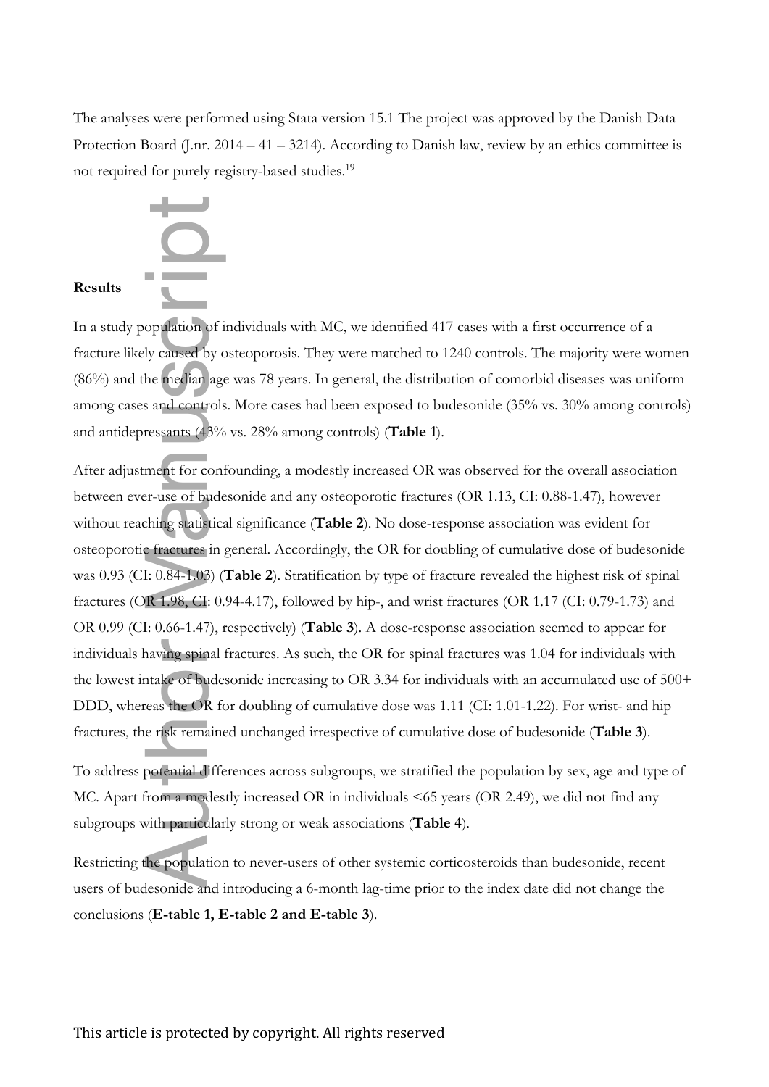The analyses were performed using Stata version 15.1 The project was approved by the Danish Data Protection Board (J.nr. 2014 – 41 – 3214). According to Danish law, review by an ethics committee is not required for purely registry-based studies.<sup>19</sup>



In a study population of individuals with MC, we identified 417 cases with a first occurrence of a fracture likely caused by osteoporosis. They were matched to 1240 controls. The majority were women (86%) and the median age was 78 years. In general, the distribution of comorbid diseases was uniform among cases and controls. More cases had been exposed to budesonide (35% vs. 30% among controls) and antidepressants (43% vs. 28% among controls) (**Table 1**).

After adjustment for confounding, a modestly increased OR was observed for the overall association between ever-use of budesonide and any osteoporotic fractures (OR 1.13, CI: 0.88-1.47), however without reaching statistical significance (**Table 2**). No dose-response association was evident for osteoporotic fractures in general. Accordingly, the OR for doubling of cumulative dose of budesonide was 0.93 (CI: 0.84-1.03) (**Table 2**). Stratification by type of fracture revealed the highest risk of spinal fractures (OR 1.98, CI: 0.94-4.17), followed by hip-, and wrist fractures (OR 1.17 (CI: 0.79-1.73) and OR 0.99 (CI: 0.66-1.47), respectively) (**Table 3**). A dose-response association seemed to appear for individuals having spinal fractures. As such, the OR for spinal fractures was 1.04 for individuals with the lowest intake of budesonide increasing to OR 3.34 for individuals with an accumulated use of 500+ DDD, whereas the OR for doubling of cumulative dose was 1.11 (CI: 1.01-1.22). For wrist- and hip fractures, the risk remained unchanged irrespective of cumulative dose of budesonide (**Table 3**). **Results**<br>
In a study population of individuals with MC, we<br>
fracture likely caused by osteoporosis. They were<br>
(86%) and the median age was 78 years. In genera<br>
among cases and controls. More cases had been e<br>
and antidep

To address potential differences across subgroups, we stratified the population by sex, age and type of MC. Apart from a modestly increased OR in individuals <65 years (OR 2.49), we did not find any subgroups with particularly strong or weak associations (**Table 4**).

Restricting the population to never-users of other systemic corticosteroids than budesonide, recent users of budesonide and introducing a 6-month lag-time prior to the index date did not change the conclusions (E-table 1, E-table 2 and E-table 3).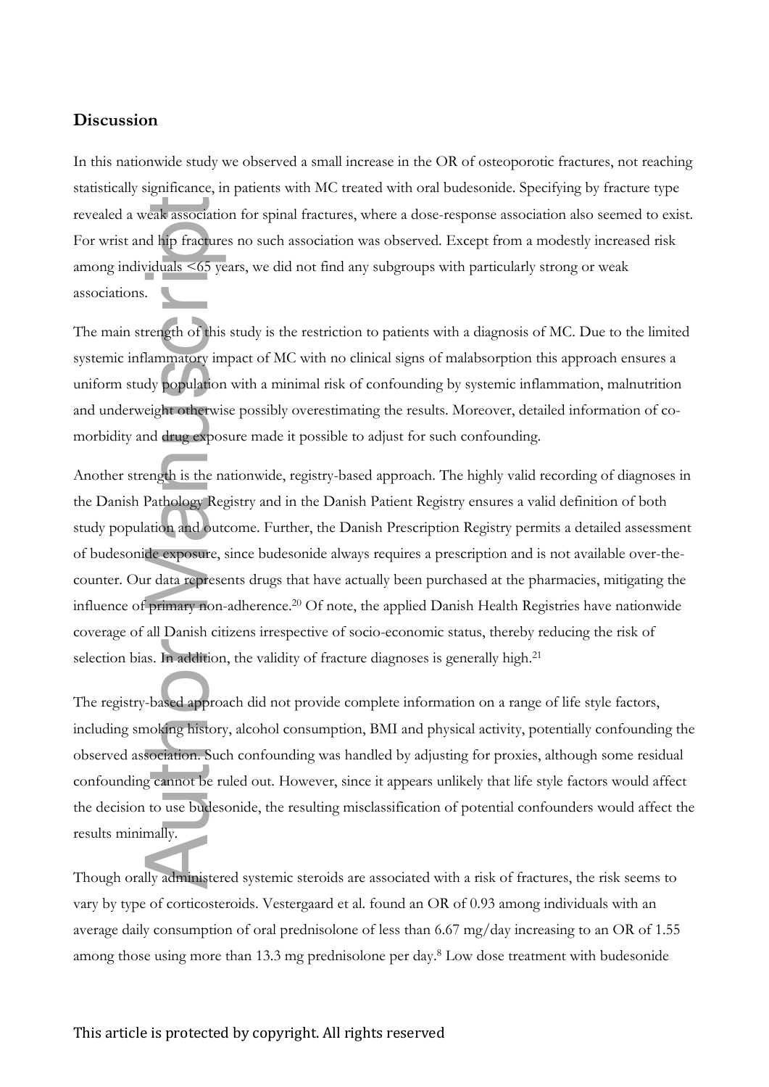### **Discussion**

In this nationwide study we observed a small increase in the OR of osteoporotic fractures, not reaching statistically significance, in patients with MC treated with oral budesonide. Specifying by fracture type revealed a weak association for spinal fractures, where a dose-response association also seemed to exist. For wrist and hip fractures no such association was observed. Except from a modestly increased risk among individuals <65 years, we did not find any subgroups with particularly strong or weak associations.

The main strength of this study is the restriction to patients with a diagnosis of MC. Due to the limited systemic inflammatory impact of MC with no clinical signs of malabsorption this approach ensures a uniform study population with a minimal risk of confounding by systemic inflammation, malnutrition and underweight otherwise possibly overestimating the results. Moreover, detailed information of comorbidity and drug exposure made it possible to adjust for such confounding.

Another strength is the nationwide, registry-based approach. The highly valid recording of diagnoses in the Danish Pathology Registry and in the Danish Patient Registry ensures a valid definition of both study population and outcome. Further, the Danish Prescription Registry permits a detailed assessment of budesonide exposure, since budesonide always requires a prescription and is not available over-thecounter. Our data represents drugs that have actually been purchased at the pharmacies, mitigating the influence of primary non-adherence.<sup>20</sup> Of note, the applied Danish Health Registries have nationwide coverage of all Danish citizens irrespective of socio-economic status, thereby reducing the risk of selection bias. In addition, the validity of fracture diagnoses is generally high.<sup>21</sup> Manuscript<br>
Manuscript Contains the Summatory in the summatory in the lammatory in dy population<br>
eight otherwist and drug expose<br>
ength is the nation and out<br>
de exposure, is data represe<br>
primary non-<br>
all Danish cit<br>
s.

The registry-based approach did not provide complete information on a range of life style factors, including smoking history, alcohol consumption, BMI and physical activity, potentially confounding the observed association. Such confounding was handled by adjusting for proxies, although some residual confounding cannot be ruled out. However, since it appears unlikely that life style factors would affect the decision to use budesonide, the resulting misclassification of potential confounders would affect the results minimally.

Though orally administered systemic steroids are associated with a risk of fractures, the risk seems to vary by type of corticosteroids. Vestergaard et al. found an OR of 0.93 among individuals with an average daily consumption of oral prednisolone of less than 6.67 mg/day increasing to an OR of 1.55 among those using more than 13.3 mg prednisolone per day.<sup>8</sup> Low dose treatment with budesonide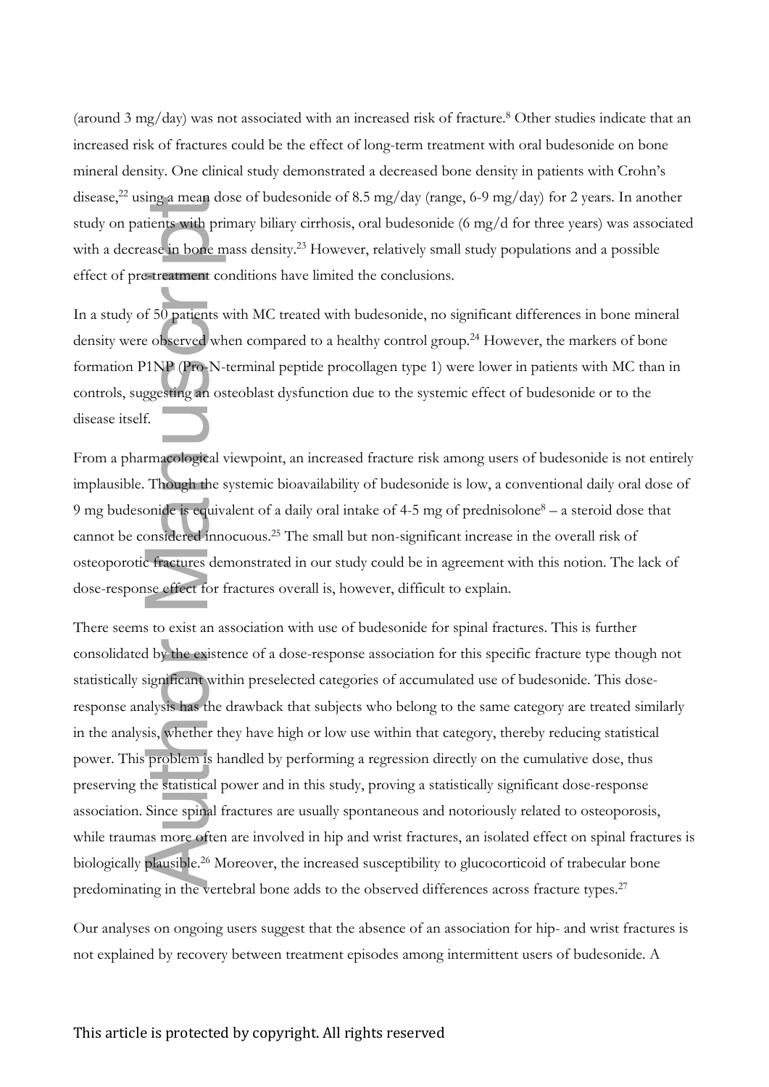(around 3 mg/day) was not associated with an increased risk of fracture.<sup>8</sup> Other studies indicate that an increased risk of fractures could be the effect of long-term treatment with oral budesonide on bone mineral density. One clinical study demonstrated a decreased bone density in patients with Crohn's disease,<sup>22</sup> using a mean dose of budesonide of 8.5 mg/day (range, 6-9 mg/day) for 2 years. In another study on patients with primary biliary cirrhosis, oral budesonide (6 mg/d for three years) was associated with a decrease in bone mass density.<sup>23</sup> However, relatively small study populations and a possible effect of pre-treatment conditions have limited the conclusions.

In a study of 50 patients with MC treated with budesonide, no significant differences in bone mineral density were observed when compared to a healthy control group.<sup>24</sup> However, the markers of bone formation P1NP (Pro-N-terminal peptide procollagen type 1) were lower in patients with MC than in controls, suggesting an osteoblast dysfunction due to the systemic effect of budesonide or to the disease itself.

From a pharmacological viewpoint, an increased fracture risk among users of budesonide is not entirely implausible. Though the systemic bioavailability of budesonide is low, a conventional daily oral dose of 9 mg budesonide is equivalent of a daily oral intake of 4-5 mg of prednisolone<sup>8</sup> – a steroid dose that cannot be considered innocuous.<sup>25</sup> The small but non-significant increase in the overall risk of osteoporotic fractures demonstrated in our study could be in agreement with this notion. The lack of dose-response effect for fractures overall is, however, difficult to explain.

There seems to exist an association with use of budesonide for spinal fractures. This is further consolidated by the existence of a dose-response association for this specific fracture type though not statistically significant within preselected categories of accumulated use of budesonide. This doseresponse analysis has the drawback that subjects who belong to the same category are treated similarly in the analysis, whether they have high or low use within that category, thereby reducing statistical power. This problem is handled by performing a regression directly on the cumulative dose, thus preserving the statistical power and in this study, proving a statistically significant dose-response association. Since spinal fractures are usually spontaneous and notoriously related to osteoporosis, while traumas more often are involved in hip and wrist fractures, an isolated effect on spinal fractures is biologically plausible.<sup>26</sup> Moreover, the increased susceptibility to glucocorticoid of trabecular bone predominating in the vertebral bone adds to the observed differences across fracture types.<sup>27</sup> strate, the not explained by the association of the method of the conduction of the sylan's or the method of the method of the conductive state with a decrease of book-mass density.<sup>23</sup> However, relatively small study popu

Our analyses on ongoing users suggest that the absence of an association for hip- and wrist fractures is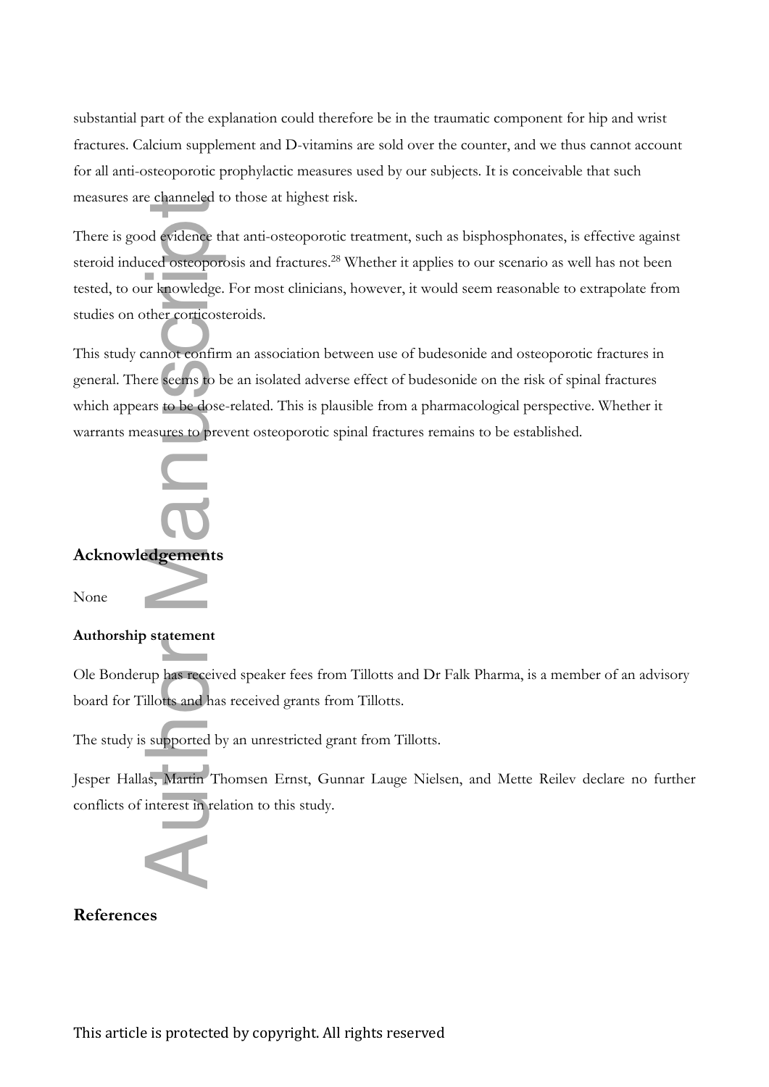substantial part of the explanation could therefore be in the traumatic component for hip and wrist fractures. Calcium supplement and D-vitamins are sold over the counter, and we thus cannot account for all anti-osteoporotic prophylactic measures used by our subjects. It is conceivable that such measures are channeled to those at highest risk.

There is good evidence that anti-osteoporotic treatment, such as bisphosphonates, is effective against steroid induced osteoporosis and fractures.<sup>28</sup> Whether it applies to our scenario as well has not been tested, to our knowledge. For most clinicians, however, it would seem reasonable to extrapolate from studies on other corticosteroids.

This study cannot confirm an association between use of budesonide and osteoporotic fractures in general. There seems to be an isolated adverse effect of budesonide on the risk of spinal fractures which appears to be dose-related. This is plausible from a pharmacological perspective. Whether it warrants measures to prevent osteoporotic spinal fractures remains to be established.

## **Acknowledgements** There is good evidence the<br>steroid induced osteoport<br>tested, to our knowledge.<br>studies on other corticost<br>This study cannot confirr<br>general. There seems to b<br>which appears to be dose<br>warrants measures to prevent<br>which appe

None

### **Authorship statement**

Ole Bonderup has received speaker fees from Tillotts and Dr Falk Pharma, is a member of an advisory board for Tillotts and has received grants from Tillotts.

The study is supported by an unrestricted grant from Tillotts.

Jesper Hallas, Martin Thomsen Ernst, Gunnar Lauge Nielsen, and Mette Reilev declare no further conflicts of interest in relation to this study.

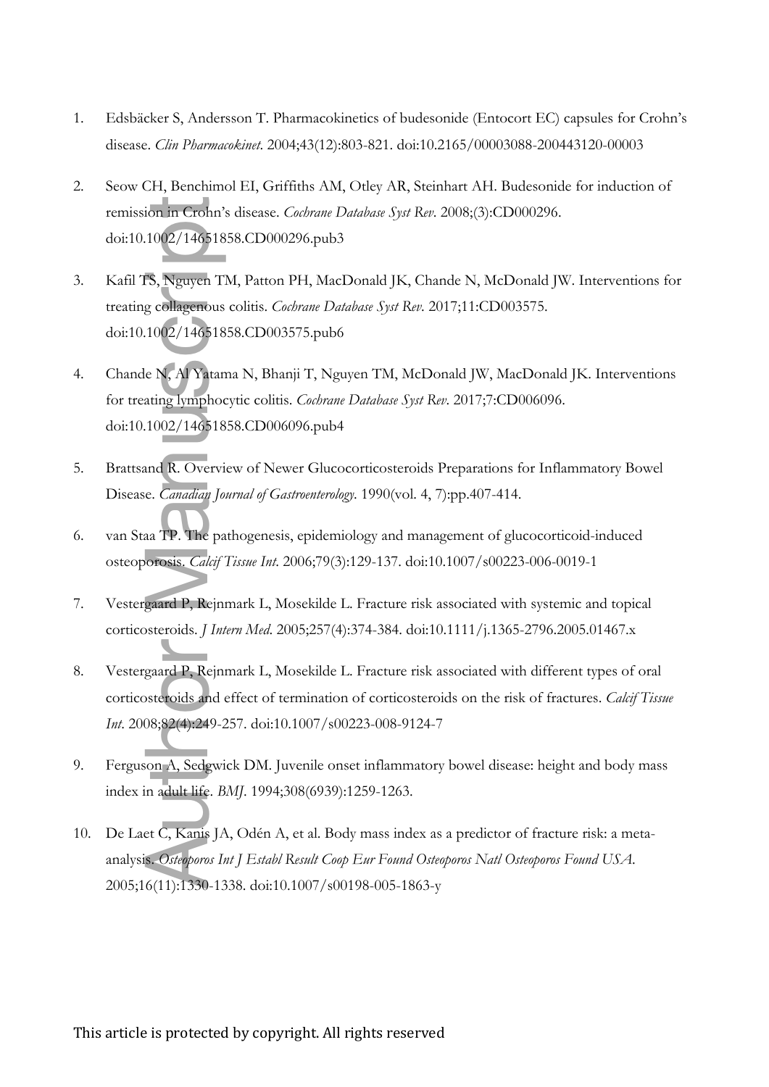- 1. Edsbäcker S, Andersson T. Pharmacokinetics of budesonide (Entocort EC) capsules for Crohn's disease. *Clin Pharmacokinet*. 2004;43(12):803-821. doi:10.2165/00003088-200443120-00003
- 2. Seow CH, Benchimol EI, Griffiths AM, Otley AR, Steinhart AH. Budesonide for induction of remission in Crohn's disease. *Cochrane Database Syst Rev*. 2008;(3):CD000296. doi:10.1002/14651858.CD000296.pub3
- 3. Kafil TS, Nguyen TM, Patton PH, MacDonald JK, Chande N, McDonald JW. Interventions for treating collagenous colitis. *Cochrane Database Syst Rev*. 2017;11:CD003575. doi:10.1002/14651858.CD003575.pub6 remission in Crohn's disease. *Cachrane Database Syst Ren*.<br>doi:10.1002/14651858.CD000296.pub3<br>Kafil TS, Nguyen TM, Patton PH, MacDonald JK, Char<br>treating collagenous colitis. *Cochrane Database Syst Ren*. 26<br>doi:10.1002/1
- 4. Chande N, Al Yatama N, Bhanji T, Nguyen TM, McDonald JW, MacDonald JK. Interventions for treating lymphocytic colitis. *Cochrane Database Syst Rev*. 2017;7:CD006096. doi:10.1002/14651858.CD006096.pub4
- 5. Brattsand R. Overview of Newer Glucocorticosteroids Preparations for Inflammatory Bowel Disease. *Canadian Journal of Gastroenterology*. 1990(vol. 4, 7):pp.407-414.
- 6. van Staa TP. The pathogenesis, epidemiology and management of glucocorticoid-induced osteoporosis. *Calcif Tissue Int*. 2006;79(3):129-137. doi:10.1007/s00223-006-0019-1
- 7. Vestergaard P, Rejnmark L, Mosekilde L. Fracture risk associated with systemic and topical corticosteroids. *J Intern Med*. 2005;257(4):374-384. doi:10.1111/j.1365-2796.2005.01467.x
- 8. Vestergaard P, Rejnmark L, Mosekilde L. Fracture risk associated with different types of oral corticosteroids and effect of termination of corticosteroids on the risk of fractures. *Calcif Tissue Int*. 2008;82(4):249-257. doi:10.1007/s00223-008-9124-7
- 9. Ferguson A, Sedgwick DM. Juvenile onset inflammatory bowel disease: height and body mass index in adult life. *BMJ*. 1994;308(6939):1259-1263.
- 10. De Laet C, Kanis JA, Odén A, et al. Body mass index as a predictor of fracture risk: a metaanalysis. *Osteoporos Int J Establ Result Coop Eur Found Osteoporos Natl Osteoporos Found USA*.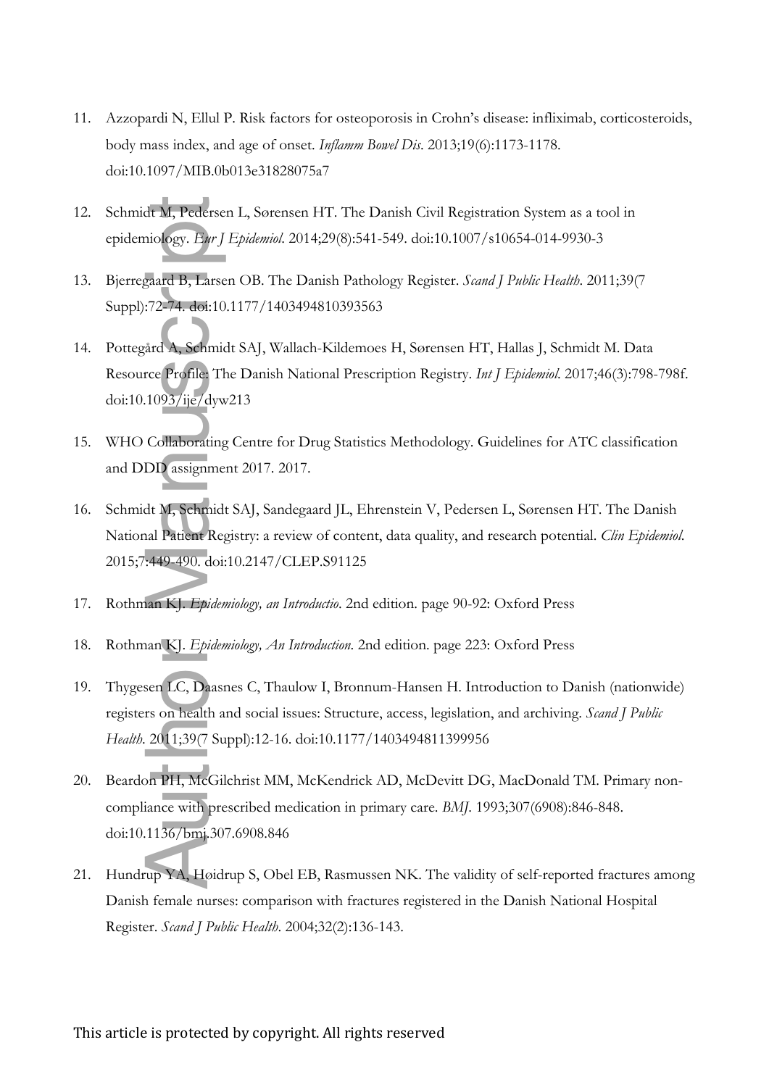- 11. Azzopardi N, Ellul P. Risk factors for osteoporosis in Crohn's disease: infliximab, corticosteroids, body mass index, and age of onset. *Inflamm Bowel Dis*. 2013;19(6):1173-1178. doi:10.1097/MIB.0b013e31828075a7
- 12. Schmidt M, Pedersen L, Sørensen HT. The Danish Civil Registration System as a tool in epidemiology. *Eur J Epidemiol*. 2014;29(8):541-549. doi:10.1007/s10654-014-9930-3
- 13. Bjerregaard B, Larsen OB. The Danish Pathology Register. *Scand J Public Health*. 2011;39(7 Suppl):72-74. doi:10.1177/1403494810393563
- 14. Pottegård A, Schmidt SAJ, Wallach-Kildemoes H, Sørensen HT, Hallas J, Schmidt M. Data Resource Profile: The Danish National Prescription Registry. *Int J Epidemiol*. 2017;46(3):798-798f. doi:10.1093/ije/dyw213
- 15. WHO Collaborating Centre for Drug Statistics Methodology. Guidelines for ATC classification and DDD assignment 2017. 2017.
- 16. Schmidt M, Schmidt SAJ, Sandegaard JL, Ehrenstein V, Pedersen L, Sørensen HT. The Danish National Patient Registry: a review of content, data quality, and research potential. *Clin Epidemiol*. 2015;7:449-490. doi:10.2147/CLEP.S91125
- 17. Rothman KJ. *Epidemiology, an Introductio*. 2nd edition. page 90-92: Oxford Press
- 18. Rothman KJ. *Epidemiology, An Introduction*. 2nd edition. page 223: Oxford Press
- 19. Thygesen LC, Daasnes C, Thaulow I, Bronnum-Hansen H. Introduction to Danish (nationwide) registers on health and social issues: Structure, access, legislation, and archiving. *Scand J Public Health*. 2011;39(7 Suppl):12-16. doi:10.1177/1403494811399956 Schmidt M, Pedersen L, Sørensen HT. The Danis<br>epidemiology. *Byr J Epidemiol.* 2014;29(8):541-549<br>Bjerregaard B, Larsen OB. The Danish Pathology<br>Suppl):72-74. doi:10.1177/1403494810393563<br>Pottegard A, Schmidt SAJ, Wallach-
- 20. Beardon PH, McGilchrist MM, McKendrick AD, McDevitt DG, MacDonald TM. Primary noncompliance with prescribed medication in primary care. *BMJ*. 1993;307(6908):846-848. doi:10.1136/bmj.307.6908.846
- 21. Hundrup YA, Høidrup S, Obel EB, Rasmussen NK. The validity of self-reported fractures among Danish female nurses: comparison with fractures registered in the Danish National Hospital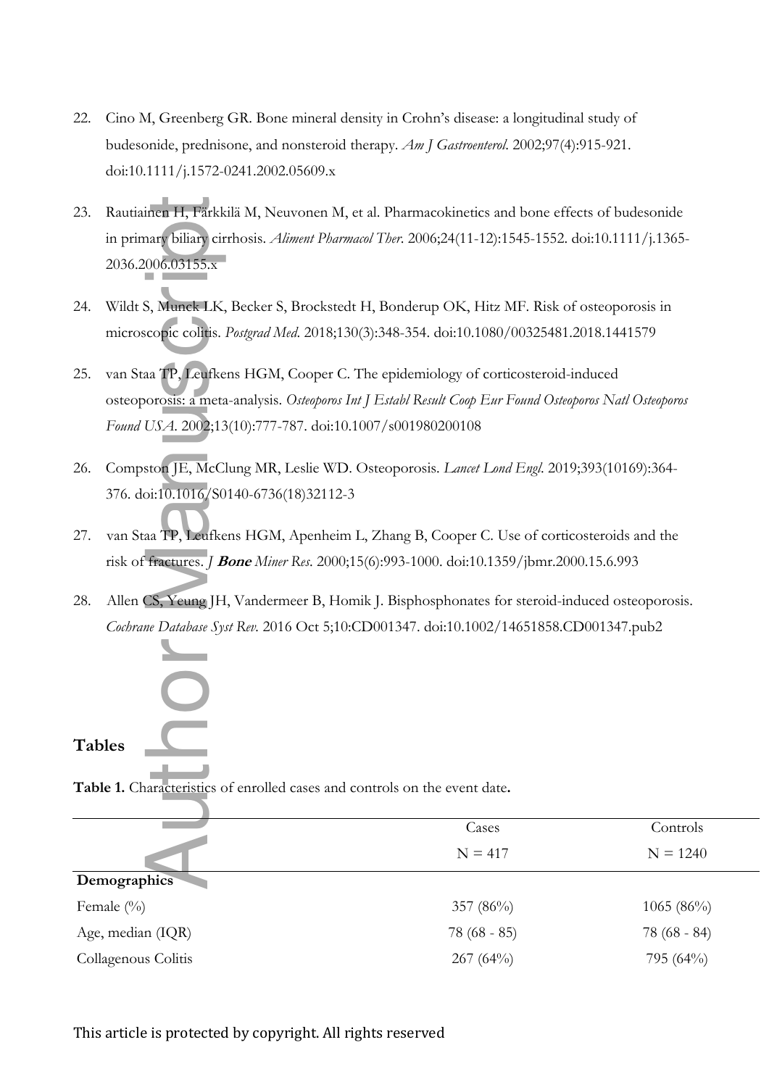- 22. Cino M, Greenberg GR. Bone mineral density in Crohn's disease: a longitudinal study of budesonide, prednisone, and nonsteroid therapy. *Am J Gastroenterol*. 2002;97(4):915-921. doi:10.1111/j.1572-0241.2002.05609.x
- 23. Rautiainen H, Färkkilä M, Neuvonen M, et al. Pharmacokinetics and bone effects of budesonide in primary biliary cirrhosis. *Aliment Pharmacol Ther*. 2006;24(11-12):1545-1552. doi:10.1111/j.1365- 2036.2006.03155.x
- 24. Wildt S, Munck LK, Becker S, Brockstedt H, Bonderup OK, Hitz MF. Risk of osteoporosis in microscopic colitis. *Postgrad Med*. 2018;130(3):348-354. doi:10.1080/00325481.2018.1441579
- 25. van Staa TP, Leufkens HGM, Cooper C. The epidemiology of corticosteroid-induced osteoporosis: a meta-analysis. *Osteoporos Int J Establ Result Coop Eur Found Osteoporos Natl Osteoporos Found USA*. 2002;13(10):777-787. doi:10.1007/s001980200108
- 26. Compston JE, McClung MR, Leslie WD. Osteoporosis. *Lancet Lond Engl*. 2019;393(10169):364- 376. doi:10.1016/S0140-6736(18)32112-3
- 27. van Staa TP, Leufkens HGM, Apenheim L, Zhang B, Cooper C. Use of corticosteroids and the risk of fractures. *J* **Bone** *Miner Res*. 2000;15(6):993-1000. doi:10.1359/jbmr.2000.15.6.993
- 28. Allen CS, Yeung JH, Vandermeer B, Homik J. Bisphosphonates for steroid-induced osteoporosis. *Cochrane Database Syst Rev.* 2016 Oct 5;10:CD001347. doi:10.1002/14651858.CD001347.pub2

## **Tables**

| 23.           | Rautiainen H, Färkkilä M, Neuvonen M, et al. Pharmacokinetics and bone effects of budesonide            |               |               |
|---------------|---------------------------------------------------------------------------------------------------------|---------------|---------------|
|               | in primary biliary cirrhosis. Aliment Pharmacol Ther. 2006;24(11-12):1545-1552. doi:10.1111/j.1365-     |               |               |
|               | 2036.2006.03155.x                                                                                       |               |               |
|               |                                                                                                         |               |               |
| 24.           | Wildt S, Munck LK, Becker S, Brockstedt H, Bonderup OK, Hitz MF. Risk of osteoporosis in                |               |               |
|               | microscopic colitis. Postgrad Med. 2018;130(3):348-354. doi:10.1080/00325481.2018.1441579               |               |               |
| 25.           | van Staa TP, Leufkens HGM, Cooper C. The epidemiology of corticosteroid-induced                         |               |               |
|               | osteoporosis: a meta-analysis. Osteoporos Int J Establ Result Coop Eur Found Osteoporos Natl Osteoporos |               |               |
|               | Found USA. 2002;13(10):777-787. doi:10.1007/s001980200108                                               |               |               |
| 26.           | Compston JE, McClung MR, Leslie WD. Osteoporosis. Lancet Lond Engl. 2019;393(10169):364-                |               |               |
|               | 376. doi:10.1016/S0140-6736(18)32112-3                                                                  |               |               |
| 27.           | van Staa TP, Leufkens HGM, Apenheim L, Zhang B, Cooper C. Use of corticosteroids and the                |               |               |
|               | risk of fractures. J Bone Miner Res. 2000;15(6):993-1000. doi:10.1359/jbmr.2000.15.6.993                |               |               |
| 28.           | Allen CS, Yeung JH, Vandermeer B, Homik J. Bisphosphonates for steroid-induced osteoporosis.            |               |               |
|               | Cochrane Database Syst Rev. 2016 Oct 5;10:CD001347. doi:10.1002/14651858.CD001347.pub2                  |               |               |
|               |                                                                                                         |               |               |
|               | H                                                                                                       |               |               |
| <b>Tables</b> |                                                                                                         |               |               |
|               |                                                                                                         |               |               |
|               | Table 1. Characteristics of enrolled cases and controls on the event date.                              |               |               |
|               |                                                                                                         | Cases         | Controls      |
|               |                                                                                                         | $N = 417$     | $N = 1240$    |
|               | Demographics                                                                                            |               |               |
|               | Female (%)                                                                                              | 357 (86%)     | 1065 (86%)    |
|               | Age, median (IQR)                                                                                       | $78(68 - 85)$ | $78(68 - 84)$ |
|               | Collagenous Colitis                                                                                     | 267 (64%)     | 795 (64%)     |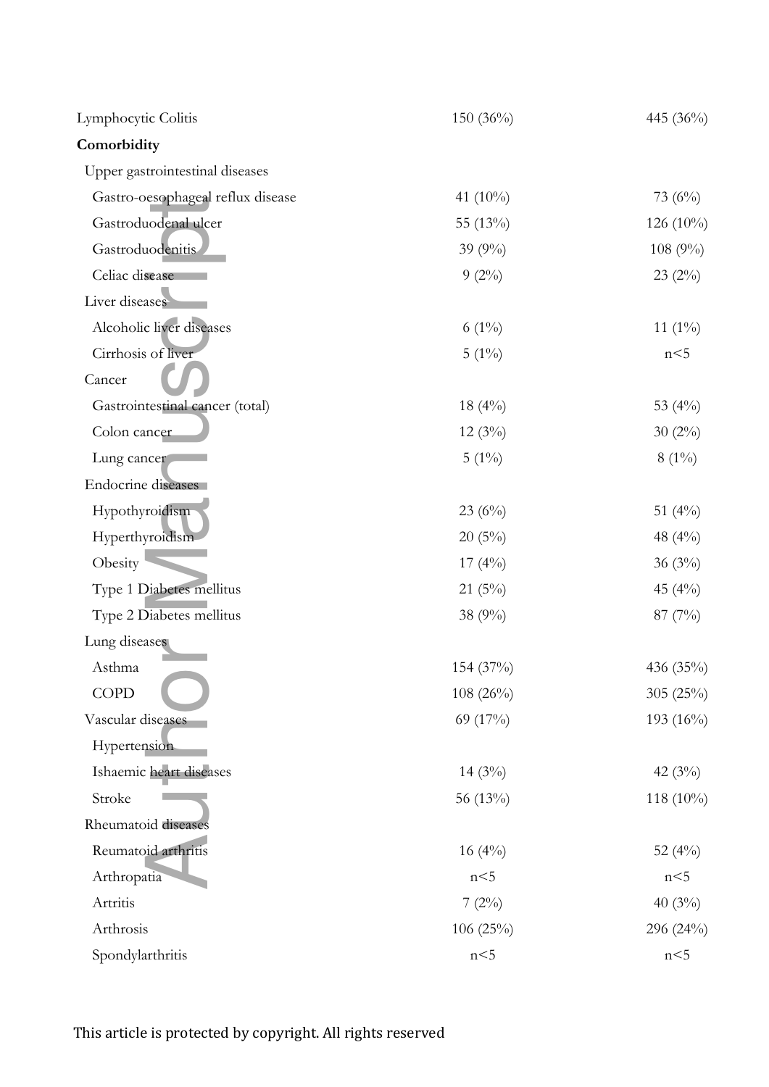| Lymphocytic Colitis               | 150 $(36\%)$ | 445 (36%)    |
|-----------------------------------|--------------|--------------|
| Comorbidity                       |              |              |
| Upper gastrointestinal diseases   |              |              |
| Gastro-oesophageal reflux disease | 41 (10%)     | 73 $(6%)$    |
| Gastroduodenal ulcer              | 55 (13%)     | 126 $(10\%)$ |
| Gastroduodenitis                  | 39 $(9\%)$   | 108 (9%)     |
| Celiac disease                    | $9(2\%)$     | $23(2\%)$    |
| Liver diseases                    |              |              |
| Alcoholic liver diseases          | $6(1\%)$     | 11 $(1\%)$   |
| Cirrhosis of liver                | $5(1\%)$     | n<5          |
| Cancer                            |              |              |
| Gastrointestinal cancer (total)   | $18(4\%)$    | 53 $(4\%)$   |
| Colon cancer                      | $12(3\%)$    | $30(2\%)$    |
| Lung cancer                       | $5(1\%)$     | $8(1\%)$     |
| Endocrine diseases                |              |              |
| Hypothyroidism                    | 23 $(6\%)$   | 51 $(4\%)$   |
| Hyperthyroidism                   | 20(5%)       | 48 $(4\%)$   |
| Obesity                           | $17(4\%)$    | 36 $(3\%)$   |
| Type 1 Diabetes mellitus          | 21(5%)       | 45 $(4\%)$   |
| Type 2 Diabetes mellitus          | 38 (9%)      | $87(7\%)$    |
| Lung diseases                     |              |              |
| Asthma                            | 154 (37%)    | 436 (35%)    |
| <b>COPD</b>                       | $108(26\%)$  | 305 (25%)    |
| Vascular diseases                 | 69 (17%)     | 193 (16%)    |
| Hypertension                      |              |              |
| Ishaemic heart diseases           | 14 $(3\%)$   | 42 $(3\%)$   |
| Stroke                            | 56 (13%)     | 118 (10%)    |
| Rheumatoid diseases               |              |              |
| Reumatoid arthritis               | 16 $(4\%)$   | 52 $(4\%)$   |
| Arthropatia                       | n<5          | n<5          |
| Artritis                          | 7(2%)        | 40 $(3\%)$   |
| Arthrosis                         | 106 $(25%)$  | 296 (24%)    |
| Spondylarthritis                  | n<5          | n<5          |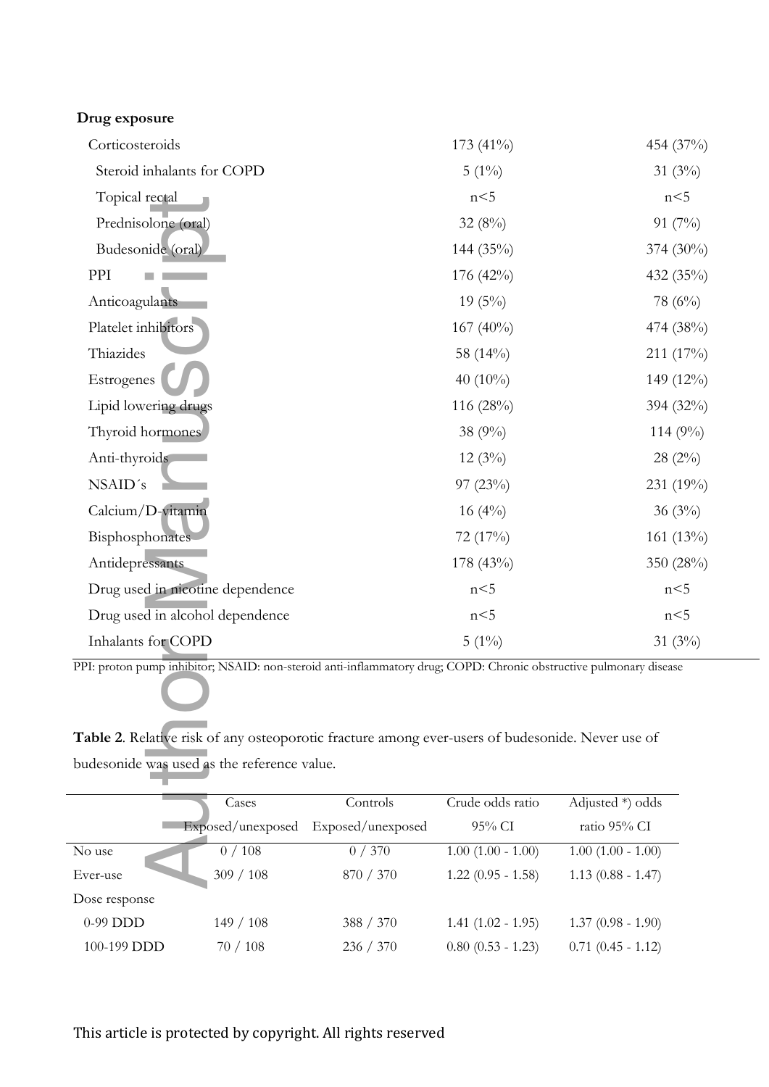| Drug exposure                               |                   |                                                                                                  |                        |                                                                                                                    |  |
|---------------------------------------------|-------------------|--------------------------------------------------------------------------------------------------|------------------------|--------------------------------------------------------------------------------------------------------------------|--|
| Corticosteroids                             |                   |                                                                                                  | 173 (41%)              | 454 (37%)                                                                                                          |  |
| Steroid inhalants for COPD                  |                   |                                                                                                  | $5(1\%)$               | 31 $(3\%)$                                                                                                         |  |
| Topical rectal                              |                   |                                                                                                  | n<5                    | n<5                                                                                                                |  |
| Prednisolone (oral)                         |                   |                                                                                                  | 32(8%)                 | 91 $(7%)$                                                                                                          |  |
| Budesonide (oral)                           |                   |                                                                                                  | 144 (35%)              | $374(30\%)$                                                                                                        |  |
| PPI                                         |                   |                                                                                                  | 176 (42%)              | 432 (35%)                                                                                                          |  |
| Anticoagulants                              |                   |                                                                                                  | $19(5\%)$              | 78 $(6%)$                                                                                                          |  |
| Platelet inhibitors                         |                   |                                                                                                  | $167(40\%)$            | 474 (38%)                                                                                                          |  |
| Thiazides                                   |                   |                                                                                                  | 58 (14%)               | 211 (17%)                                                                                                          |  |
| Estrogenes                                  |                   |                                                                                                  | 40 $(10\%)$            | 149 (12%)                                                                                                          |  |
| Lipid lowering drugs                        |                   |                                                                                                  | 116 (28%)              | 394 (32%)                                                                                                          |  |
| Thyroid hormones                            |                   |                                                                                                  | 38 (9%)                | $114(9\%)$                                                                                                         |  |
| Anti-thyroids                               |                   |                                                                                                  | 12(3%)                 | 28(2%)                                                                                                             |  |
| NSAID's                                     |                   |                                                                                                  | 97(23%)                | 231 (19%)                                                                                                          |  |
| Calcium/D-vitamin                           |                   |                                                                                                  | $16(4\%)$              | 36(3%)                                                                                                             |  |
| Bisphosphonates                             |                   |                                                                                                  | 72 (17%)               | $161(13\%)$                                                                                                        |  |
| Antidepressants                             |                   |                                                                                                  | 178 (43%)              | 350 (28%)                                                                                                          |  |
| Drug used in nicotine dependence            |                   |                                                                                                  | n<5                    | n<5                                                                                                                |  |
| Drug used in alcohol dependence             |                   |                                                                                                  | n<5                    | n<5                                                                                                                |  |
| Inhalants for COPD                          |                   |                                                                                                  | $5(1\%)$               | 31 $(3\%)$                                                                                                         |  |
| budesonide was used as the reference value. |                   | Table 2. Relative risk of any osteoporotic fracture among ever-users of budesonide. Never use of |                        | PPI: proton pump inhibitor; NSAID: non-steroid anti-inflammatory drug; COPD: Chronic obstructive pulmonary disease |  |
|                                             | Cases             | Controls                                                                                         | Crude odds ratio       | Adjusted *) odds                                                                                                   |  |
|                                             | Exposed/unexposed | Exposed/unexposed                                                                                | 95% CI                 | ratio 95% CI                                                                                                       |  |
| No use                                      | 0/108             | 0/370                                                                                            | $1.00$ $(1.00 - 1.00)$ | $1.00$ $(1.00 - 1.00)$                                                                                             |  |
| Ever-use                                    | 309 / 108         | 870 / 370                                                                                        | $1.22$ (0.95 - 1.58)   | $1.13$ (0.88 - 1.47)                                                                                               |  |
| Dose response                               |                   |                                                                                                  |                        |                                                                                                                    |  |
| 0-99 DDD                                    | 149/108           | 388 / 370                                                                                        | $1.41 (1.02 - 1.95)$   | $1.37(0.98 - 1.90)$                                                                                                |  |
| 100-199 DDD                                 | $70/108$          | 236 / 370                                                                                        | $0.80$ $(0.53 - 1.23)$ | $0.71$ $(0.45 - 1.12)$                                                                                             |  |

**Table 2**. Relative risk of any osteoporotic fracture among ever-users of budesonide. Never use of budesonide was used as the reference value.

|               | Cases                               | Controls  | Crude odds ratio       | Adjusted $*)$ odds     |  |
|---------------|-------------------------------------|-----------|------------------------|------------------------|--|
|               | Exposed/unexposed Exposed/unexposed |           | $95\%$ CI              | ratio 95% CI           |  |
| No use        | 0/108                               | 0/370     | $1.00$ $(1.00 - 1.00)$ | $1.00$ $(1.00 - 1.00)$ |  |
| Ever-use      | 309 / 108                           | 870 / 370 | $1.22$ (0.95 - 1.58)   | $1.13(0.88 - 1.47)$    |  |
| Dose response |                                     |           |                        |                        |  |
| $0-99$ DDD    | 149/108                             | 388 / 370 | $1.41(1.02 - 1.95)$    | $1.37(0.98 - 1.90)$    |  |
| 100-199 DDD   | 70/108                              | 236 / 370 | $0.80$ $(0.53 - 1.23)$ | $0.71$ $(0.45 - 1.12)$ |  |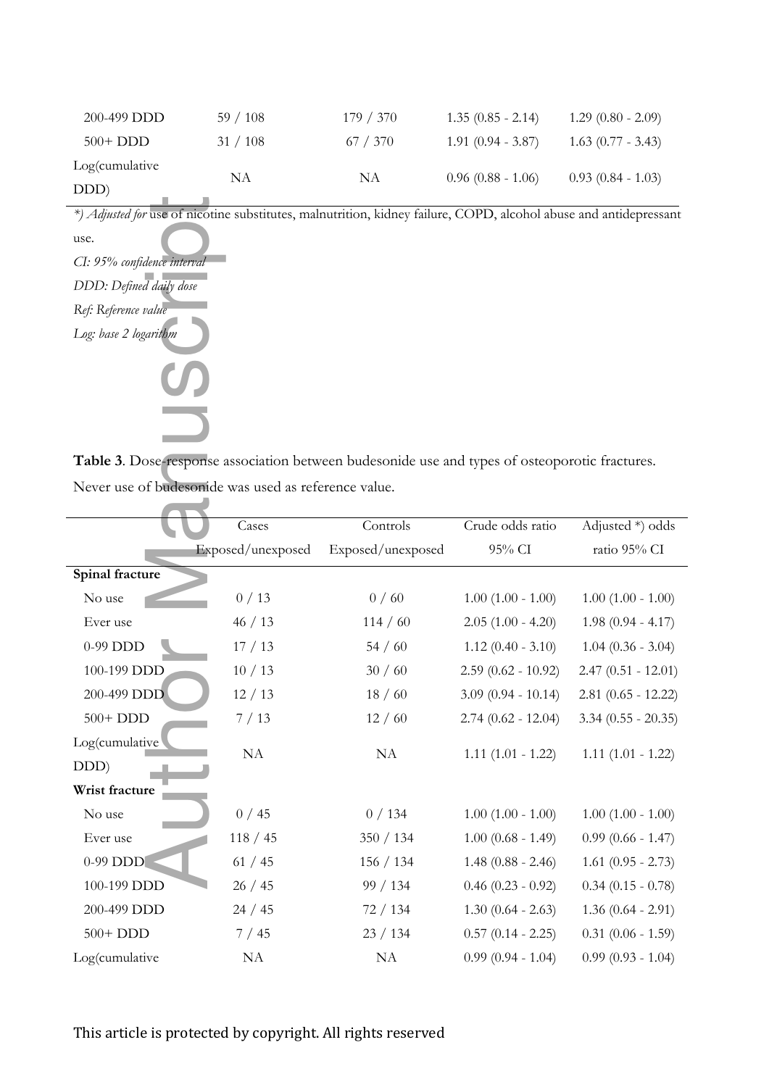| 200-499 DDD    | 59/108 | 179/370  | $1.35(0.85 - 2.14)$ | $1.29(0.80 - 2.09)$ |
|----------------|--------|----------|---------------------|---------------------|
| $500+DDD$      | 31/108 | 67 / 370 | $1.91(0.94 - 3.87)$ | $1.63(0.77 - 3.43)$ |
| Log(cumulative | NΑ     | NA       | $0.96(0.88 - 1.06)$ | $0.93(0.84 - 1.03)$ |
| DDD)           |        |          |                     |                     |

**Table 3**. Dose-response association between budesonide use and types of osteoporotic fractures. Never use of budesonide was used as reference value.

|                             |                                                      | *) Adjusted for use of nicotine substitutes, malnutrition, kidney failure, COPD, alcohol abuse and antidepressant |                        |                        |
|-----------------------------|------------------------------------------------------|-------------------------------------------------------------------------------------------------------------------|------------------------|------------------------|
| use.                        |                                                      |                                                                                                                   |                        |                        |
| CI: 95% confidence interval |                                                      |                                                                                                                   |                        |                        |
| DDD: Defined daily dose     |                                                      |                                                                                                                   |                        |                        |
| Ref: Reference value        |                                                      |                                                                                                                   |                        |                        |
| Log: base 2 logarithm       |                                                      |                                                                                                                   |                        |                        |
|                             |                                                      |                                                                                                                   |                        |                        |
|                             |                                                      |                                                                                                                   |                        |                        |
|                             |                                                      | Table 3. Dose-response association between budesonide use and types of osteoporotic fractures.                    |                        |                        |
|                             | Never use of budesonide was used as reference value. |                                                                                                                   |                        |                        |
|                             |                                                      |                                                                                                                   |                        |                        |
|                             | Cases                                                | Controls                                                                                                          | Crude odds ratio       | Adjusted *) odds       |
|                             | Exposed/unexposed                                    | Exposed/unexposed                                                                                                 | 95% CI                 | ratio 95% CI           |
| Spinal fracture             |                                                      |                                                                                                                   |                        |                        |
| No use                      | 0/13                                                 | 0/60                                                                                                              | $1.00$ $(1.00 - 1.00)$ | $1.00$ $(1.00 - 1.00)$ |
| Ever use                    | 46 / 13                                              | 114 / 60                                                                                                          | $2.05(1.00 - 4.20)$    | $1.98(0.94 - 4.17)$    |
| 0-99 DDD                    | 17/13                                                | 54/60                                                                                                             | $1.12$ (0.40 - 3.10)   | $1.04(0.36 - 3.04)$    |
| 100-199 DDD                 | 10/13                                                | 30/60                                                                                                             | $2.59$ (0.62 - 10.92)  | $2.47(0.51 - 12.01)$   |
| 200-499 DDD                 | 12/13                                                | 18/60                                                                                                             | $3.09(0.94 - 10.14)$   | $2.81$ (0.65 - 12.22)  |
| $500+$ DDD                  | 7/13                                                 | 12/60                                                                                                             | $2.74(0.62 - 12.04)$   | $3.34$ (0.55 - 20.35)  |
| Log(cumulative              | NA                                                   |                                                                                                                   |                        | $1.11(1.01 - 1.22)$    |
| DDD)                        |                                                      | NA                                                                                                                | $1.11(1.01 - 1.22)$    |                        |
| Wrist fracture              |                                                      |                                                                                                                   |                        |                        |
| No use                      | 0/45                                                 | 0/134                                                                                                             | $1.00$ $(1.00 - 1.00)$ | $1.00$ $(1.00 - 1.00)$ |
| Ever use                    | 118 / 45                                             | 350 / 134                                                                                                         | $1.00$ (0.68 - 1.49)   | $0.99$ (0.66 - 1.47)   |
| 0-99 DDD                    | 61 / 45                                              | 156 / 134                                                                                                         | $1.48$ (0.88 - 2.46)   | $1.61$ (0.95 - 2.73)   |
| 100-199 DDD                 | 26/45                                                | 99 / 134                                                                                                          | $0.46$ (0.23 - 0.92)   | $0.34$ (0.15 - 0.78)   |
| 200-499 DDD                 | 24 / 45                                              | 72/134                                                                                                            | $1.30(0.64 - 2.63)$    | $1.36(0.64 - 2.91)$    |
| $500+$ DDD                  | 7/45                                                 | 23 / 134                                                                                                          | $0.57$ $(0.14 - 2.25)$ | $0.31$ (0.06 - 1.59)   |
| Log(cumulative              | ${\rm NA}$                                           | ${\rm NA}$                                                                                                        | $0.99$ $(0.94 - 1.04)$ | $0.99(0.93 - 1.04)$    |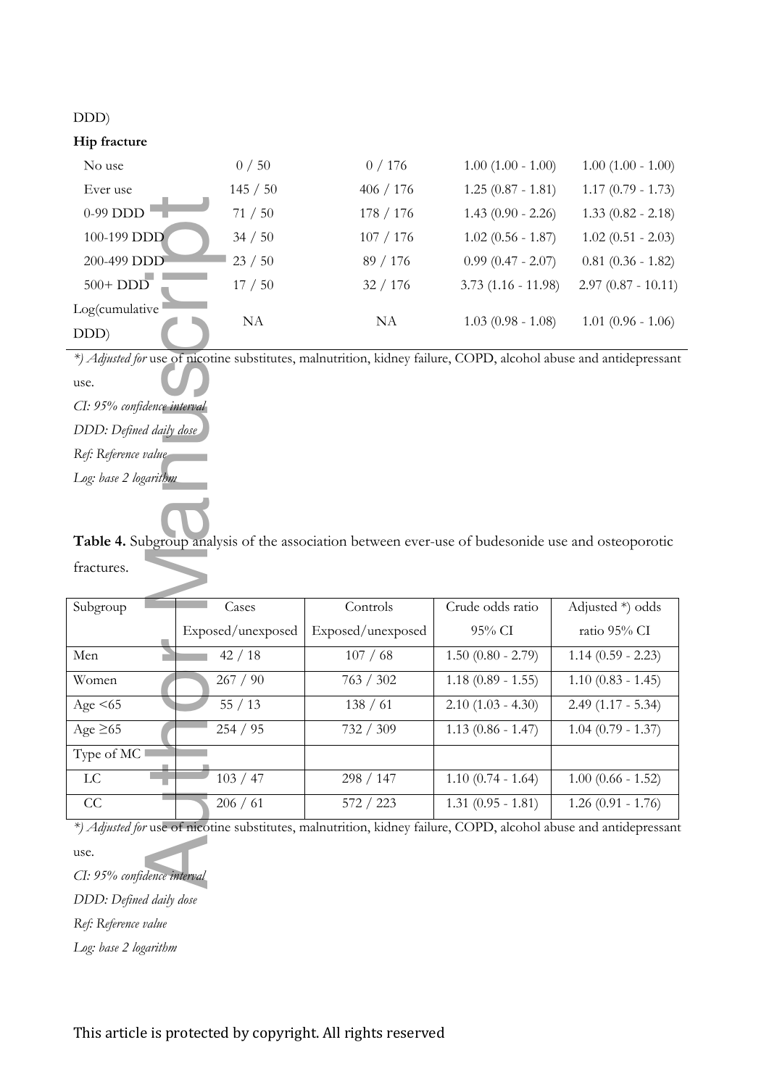### DDD)

### **Hip fracture**

| No use                 | 0/50     | 0/176     | $1.00$ $(1.00 - 1.00)$ | $1.00(1.00 - 1.00)$  |
|------------------------|----------|-----------|------------------------|----------------------|
| Ever use               | 145 / 50 | 406 / 176 | $1.25(0.87 - 1.81)$    | $1.17(0.79 - 1.73)$  |
| 0-99 DDD               | 71/50    | 178 / 176 | $1.43(0.90 - 2.26)$    | $1.33(0.82 - 2.18)$  |
| 100-199 DDD            | 34 / 50  | 107 / 176 | $1.02$ (0.56 - 1.87)   | $1.02$ (0.51 - 2.03) |
| 200-499 DDD            | 23/50    | 89 / 176  | $0.99$ (0.47 - 2.07)   | $0.81$ (0.36 - 1.82) |
| $500+$ DDD             | 17/50    | 32/176    | $3.73(1.16 - 11.98)$   | $2.97(0.87 - 10.11)$ |
| Log(cumulative<br>DDD) | NA       | NA        | $1.03(0.98 - 1.08)$    | $1.01$ (0.96 - 1.06) |

| $0-99$ DDD $1$              | 71/50             | 178 / 176                                                                                                         | $1.43(0.90 - 2.26)$    | $1.33$ (0.82 - 2.18) |
|-----------------------------|-------------------|-------------------------------------------------------------------------------------------------------------------|------------------------|----------------------|
| 100-199 DDD                 | 34 / 50           | 107 / 176                                                                                                         | $1.02$ (0.56 - 1.87)   | $1.02(0.51 - 2.03)$  |
| 200-499 DDD                 | 23/50             | 89 / 176                                                                                                          | $0.99$ (0.47 - 2.07)   | $0.81$ (0.36 - 1.82) |
| $500+$ $DDD$                | 17/50             | 32 / 176                                                                                                          | $3.73(1.16 - 11.98)$   | $2.97(0.87 - 10.11)$ |
| Log(cumulative              |                   |                                                                                                                   |                        |                      |
| DDD)                        | NA                | NA                                                                                                                | $1.03$ (0.98 - 1.08)   | $1.01$ (0.96 - 1.06) |
|                             |                   | *) Adjusted for use of nicotine substitutes, malnutrition, kidney failure, COPD, alcohol abuse and antidepressant |                        |                      |
| use.                        |                   |                                                                                                                   |                        |                      |
| CI: 95% confidence interval |                   |                                                                                                                   |                        |                      |
| DDD: Defined daily dose     |                   |                                                                                                                   |                        |                      |
| Ref: Reference value-       |                   |                                                                                                                   |                        |                      |
| Log: base 2 logarithm       |                   |                                                                                                                   |                        |                      |
|                             |                   |                                                                                                                   |                        |                      |
|                             |                   |                                                                                                                   |                        |                      |
|                             |                   | Table 4. Subgroup analysis of the association between ever-use of budesonide use and osteoporotic                 |                        |                      |
| fractures.                  |                   |                                                                                                                   |                        |                      |
| Subgroup                    | Cases             | Controls                                                                                                          | Crude odds ratio       | Adjusted *) odds     |
|                             | Exposed/unexposed | Exposed/unexposed                                                                                                 | 95% CI                 | ratio 95% CI         |
| Men                         | 42/18             | 107/68                                                                                                            | $1.50$ (0.80 - 2.79)   | $1.14(0.59 - 2.23)$  |
|                             |                   |                                                                                                                   |                        |                      |
| Women                       | 267 / 90          | 763 / 302                                                                                                         | $1.18(0.89 - 1.55)$    | $1.10(0.83 - 1.45)$  |
| Age $\leq 65$               | 55/13             | 138 / 61                                                                                                          | $2.10$ $(1.03 - 4.30)$ | $2.49(1.17 - 5.34)$  |
| Age $\geq 65$               | 254 / 95          | 732 / 309                                                                                                         | $1.13$ (0.86 - 1.47)   | $1.04$ (0.79 - 1.37) |
| Type of MC                  |                   |                                                                                                                   |                        |                      |
| ${\rm LC}$                  | 103 / 47          | 298 / 147                                                                                                         | $1.10(0.74 - 1.64)$    | $1.00$ (0.66 - 1.52) |
| CC                          | 206 / 61          | 572 / 223                                                                                                         | $1.31(0.95 - 1.81)$    | $1.26(0.91 - 1.76)$  |
|                             |                   | *) Adjusted for use of nicotine substitutes, malnutrition, kidney failure, COPD, alcohol abuse and antidepressan  |                        |                      |
| use.                        |                   |                                                                                                                   |                        |                      |
| CI: 95% confidence interval |                   |                                                                                                                   |                        |                      |
| DDD: Defined daily dose     |                   |                                                                                                                   |                        |                      |
| Ref: Reference value        |                   |                                                                                                                   |                        |                      |
| Log: base 2 logarithm       |                   |                                                                                                                   |                        |                      |

use.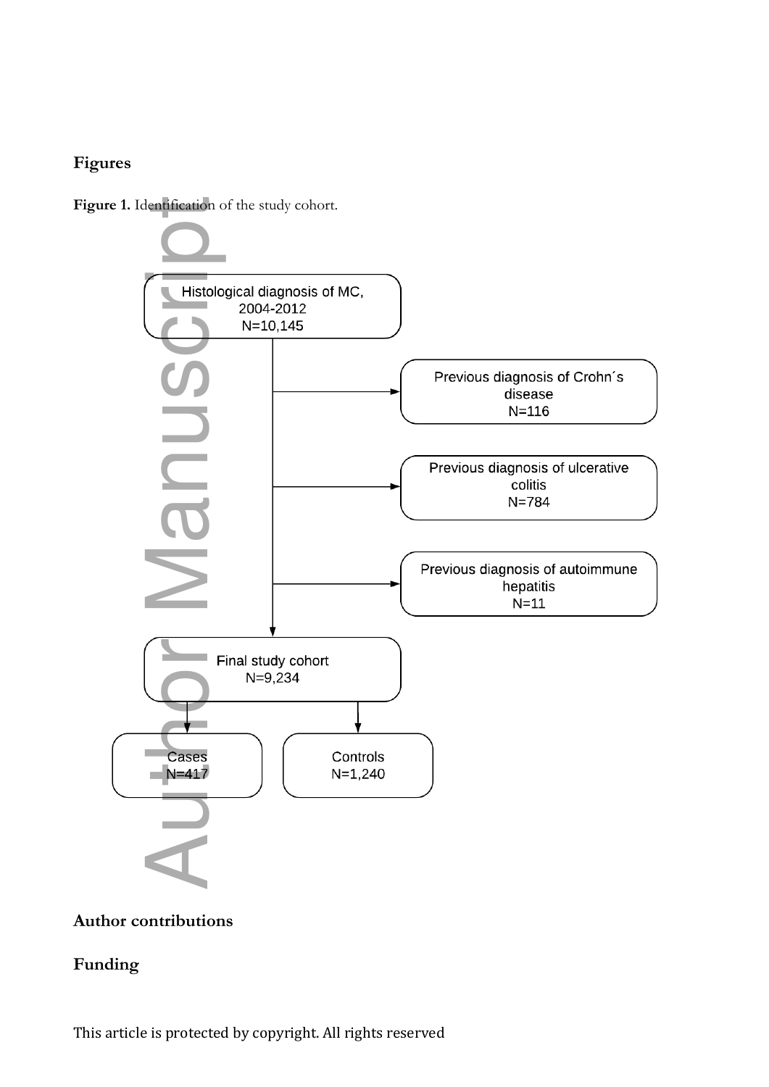### **Figures**

Figure 1. Identification of the study cohort.



### **Author contributions**

### **Funding**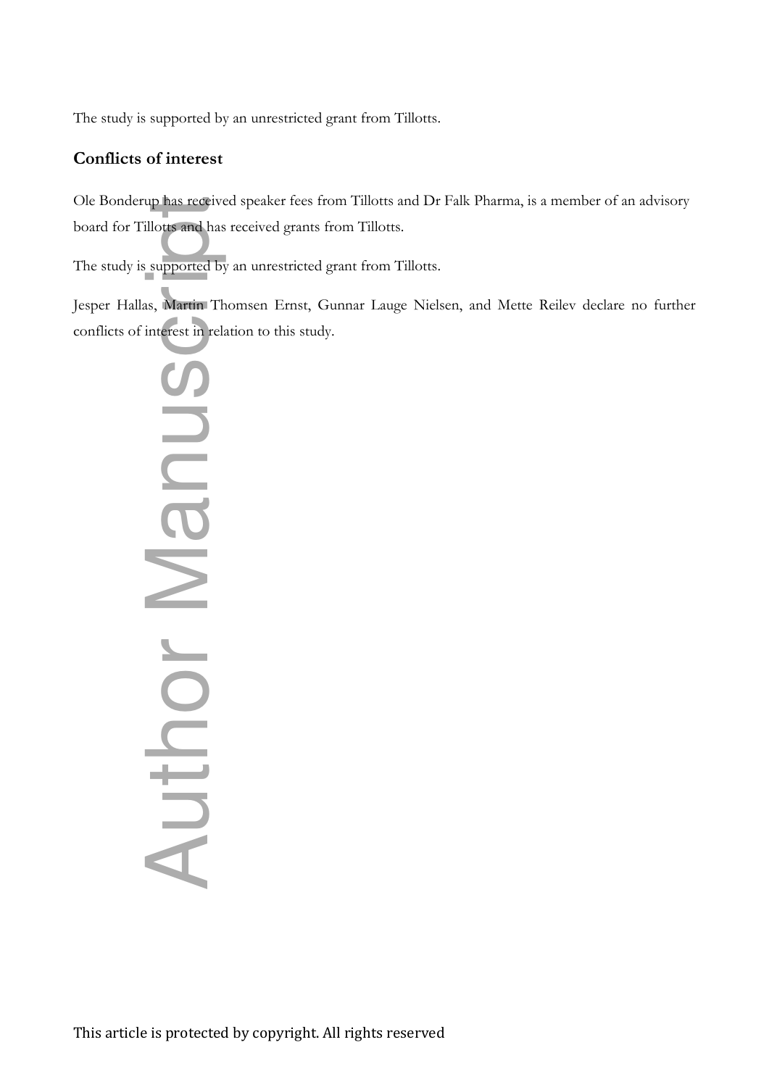The study is supported by an unrestricted grant from Tillotts.

### **Conflicts of interest**

Ole Bonderup has received speaker fees from Tillotts and Dr Falk Pharma, is a member of an advisory board for Tillotts and has received grants from Tillotts.

The study is supported by an unrestricted grant from Tillotts.

Jesper Hallas, Martin Thomsen Ernst, Gunnar Lauge Nielsen, and Mette Reilev declare no further

conflicts of interest in relation to this study.